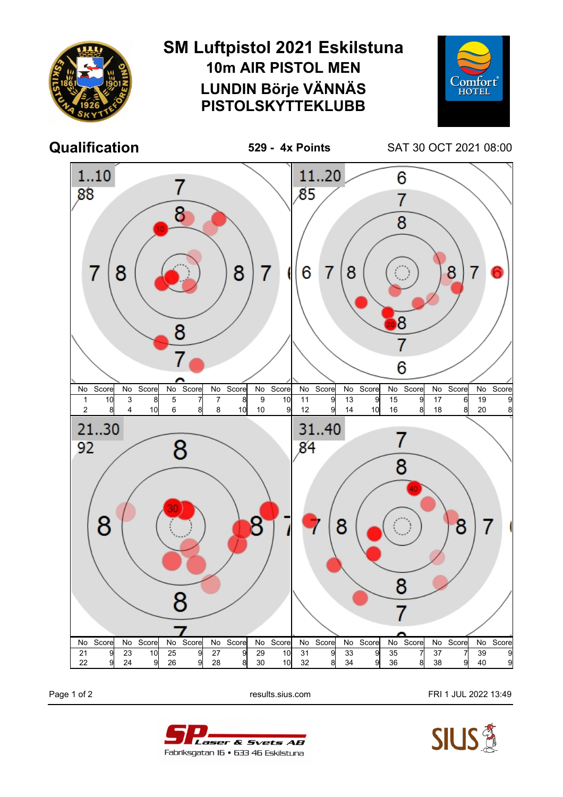

Page 1 of 2 **Page 1 of 2** results.sius.com **FRI 1 JUL 2022 13:49**